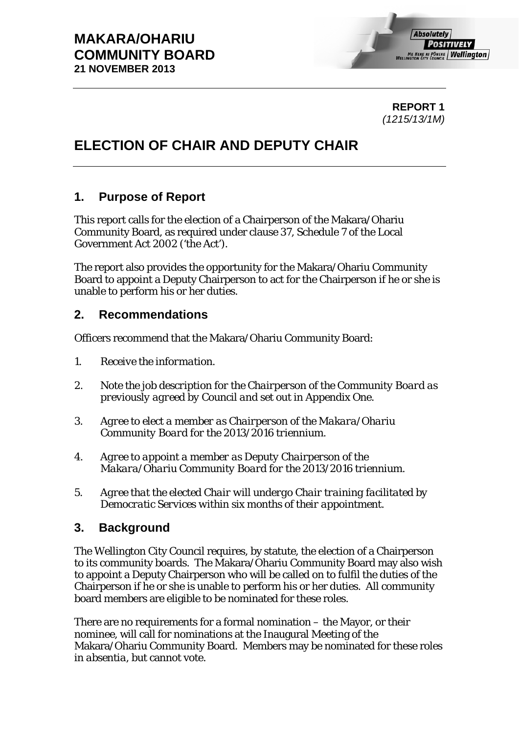**REPORT 1**  *(1215/13/1M)* 

# **ELECTION OF CHAIR AND DEPUTY CHAIR**

## **1. Purpose of Report**

This report calls for the election of a Chairperson of the Makara/Ohariu Community Board, as required under clause 37, Schedule 7 of the Local Government Act 2002 ('the Act').

The report also provides the opportunity for the Makara/Ohariu Community Board to appoint a Deputy Chairperson to act for the Chairperson if he or she is unable to perform his or her duties.

## **2. Recommendations**

Officers recommend that the Makara/Ohariu Community Board:

- *1. Receive the information.*
- *2. Note the job description for the Chairperson of the Community Board as previously agreed by Council and set out in Appendix One.*
- *3. Agree to elect a member as Chairperson of the Makara/Ohariu Community Board for the 2013/2016 triennium.*
- *4. Agree to appoint a member as Deputy Chairperson of the Makara/Ohariu Community Board for the 2013/2016 triennium.*
- *5. Agree that the elected Chair will undergo Chair training facilitated by Democratic Services within six months of their appointment.*

## **3. Background**

The Wellington City Council requires, by statute, the election of a Chairperson to its community boards. The Makara/Ohariu Community Board may also wish to appoint a Deputy Chairperson who will be called on to fulfil the duties of the Chairperson if he or she is unable to perform his or her duties. All community board members are eligible to be nominated for these roles.

There are no requirements for a formal nomination – the Mayor, or their nominee, will call for nominations at the Inaugural Meeting of the Makara/Ohariu Community Board. Members may be nominated for these roles *in absentia*, but cannot vote.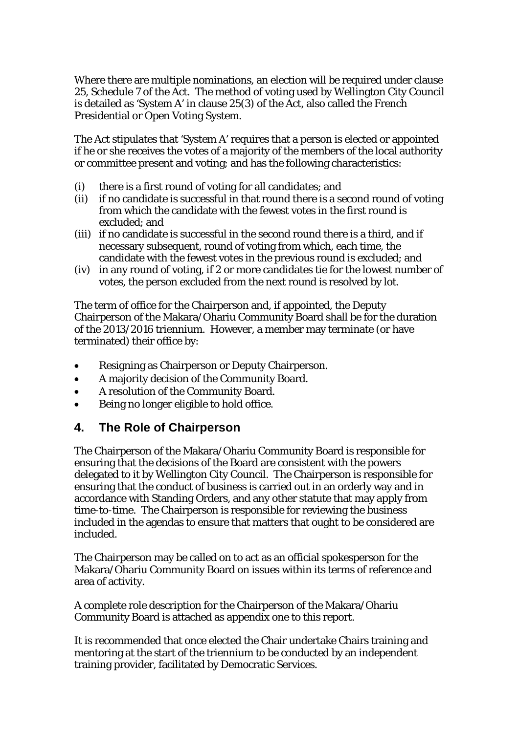Where there are multiple nominations, an election will be required under clause 25, Schedule 7 of the Act. The method of voting used by Wellington City Council is detailed as 'System A' in clause 25(3) of the Act, also called the French Presidential or Open Voting System.

The Act stipulates that 'System A' requires that a person is elected or appointed if he or she receives the votes of a majority of the members of the local authority or committee present and voting; and has the following characteristics:

- (i) there is a first round of voting for all candidates; and
- (ii) if no candidate is successful in that round there is a second round of voting from which the candidate with the fewest votes in the first round is excluded; and
- (iii) if no candidate is successful in the second round there is a third, and if necessary subsequent, round of voting from which, each time, the candidate with the fewest votes in the previous round is excluded; and
- (iv) in any round of voting, if 2 or more candidates tie for the lowest number of votes, the person excluded from the next round is resolved by lot.

The term of office for the Chairperson and, if appointed, the Deputy Chairperson of the Makara/Ohariu Community Board shall be for the duration of the 2013/2016 triennium. However, a member may terminate (or have terminated) their office by:

- Resigning as Chairperson or Deputy Chairperson.
- A majority decision of the Community Board.
- A resolution of the Community Board.
- Being no longer eligible to hold office.

## **4. The Role of Chairperson**

The Chairperson of the Makara/Ohariu Community Board is responsible for ensuring that the decisions of the Board are consistent with the powers delegated to it by Wellington City Council. The Chairperson is responsible for ensuring that the conduct of business is carried out in an orderly way and in accordance with Standing Orders, and any other statute that may apply from time-to-time. The Chairperson is responsible for reviewing the business included in the agendas to ensure that matters that ought to be considered are included.

The Chairperson may be called on to act as an official spokesperson for the Makara/Ohariu Community Board on issues within its terms of reference and area of activity.

A complete role description for the Chairperson of the Makara/Ohariu Community Board is attached as appendix one to this report.

It is recommended that once elected the Chair undertake Chairs training and mentoring at the start of the triennium to be conducted by an independent training provider, facilitated by Democratic Services.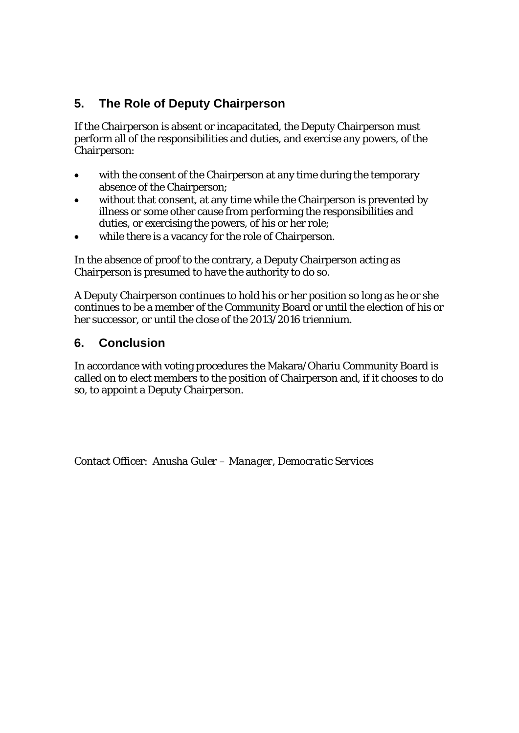# **5. The Role of Deputy Chairperson**

If the Chairperson is absent or incapacitated, the Deputy Chairperson must perform all of the responsibilities and duties, and exercise any powers, of the Chairperson:

- with the consent of the Chairperson at any time during the temporary absence of the Chairperson;
- without that consent, at any time while the Chairperson is prevented by illness or some other cause from performing the responsibilities and duties, or exercising the powers, of his or her role;
- while there is a vacancy for the role of Chairperson.

In the absence of proof to the contrary, a Deputy Chairperson acting as Chairperson is presumed to have the authority to do so.

A Deputy Chairperson continues to hold his or her position so long as he or she continues to be a member of the Community Board or until the election of his or her successor, or until the close of the 2013/2016 triennium.

## **6. Conclusion**

In accordance with voting procedures the Makara/Ohariu Community Board is called on to elect members to the position of Chairperson and, if it chooses to do so, to appoint a Deputy Chairperson.

Contact Officer: *Anusha Guler – Manager, Democratic Services*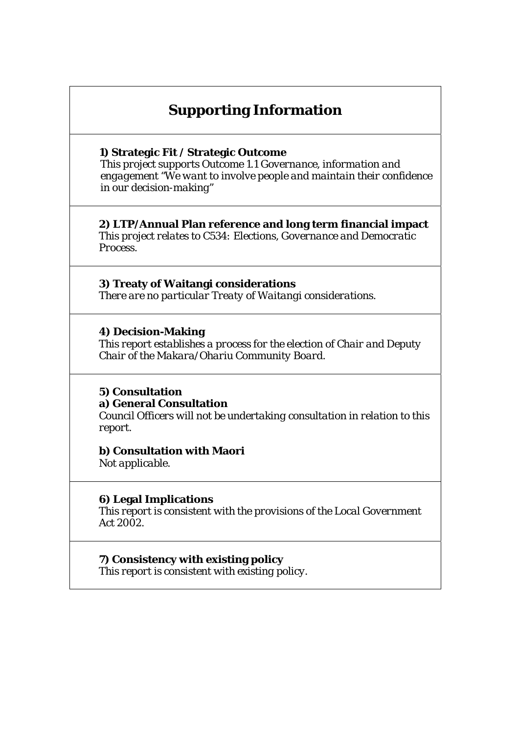# **Supporting Information**

**1) Strategic Fit / Strategic Outcome** 

*This project supports Outcome 1.1 Governance, information and engagement "We want to involve people and maintain their confidence in our decision-making"* 

**2) LTP/Annual Plan reference and long term financial impact**  *This project relates to C534: Elections, Governance and Democratic Process.* 

**3) Treaty of Waitangi considerations**  *There are no particular Treaty of Waitangi considerations.* 

**4) Decision-Making**  *This report establishes a process for the election of Chair and Deputy Chair of the Makara/Ohariu Community Board.* 

## **5) Consultation a) General Consultation**

*Council Officers will not be undertaking consultation in relation to this report.* 

**b) Consultation with Maori** 

*Not applicable.*

## **6) Legal Implications**

*This report is consistent with the provisions of the Local Government Act 2002.* 

**7) Consistency with existing policy**  *This report is consistent with existing policy.*